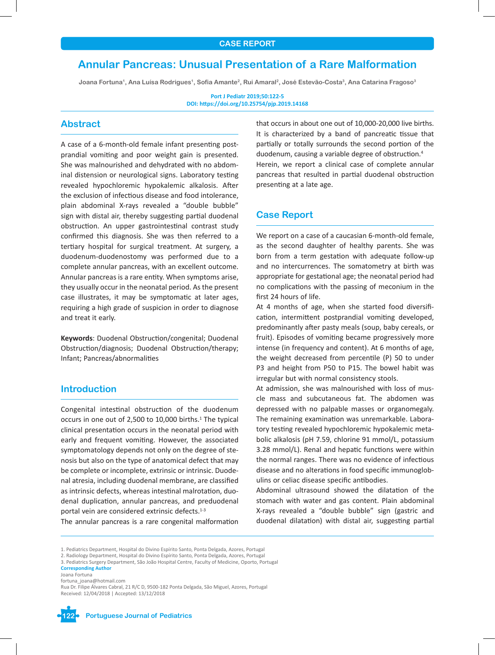# **Annular Pancreas: Unusual Presentation of a Rare Malformation**

**Joana Fortuna1, Ana Luísa Rodrigues1, Sofia Amante2, Rui Amaral2, José Estevão-Costa3, Ana Catarina Fragoso3**

**Port J Pediatr 2019;50:122-5 DOI: https://doi.org/10.25754/pjp.2019.14168**

# **Abstract**

A case of a 6-month-old female infant presenting postprandial vomiting and poor weight gain is presented. She was malnourished and dehydrated with no abdominal distension or neurological signs. Laboratory testing revealed hypochloremic hypokalemic alkalosis. After the exclusion of infectious disease and food intolerance, plain abdominal X-rays revealed a "double bubble" sign with distal air, thereby suggesting partial duodenal obstruction. An upper gastrointestinal contrast study confirmed this diagnosis. She was then referred to a tertiary hospital for surgical treatment. At surgery, a duodenum-duodenostomy was performed due to a complete annular pancreas, with an excellent outcome. Annular pancreas is a rare entity. When symptoms arise, they usually occur in the neonatal period. As the present case illustrates, it may be symptomatic at later ages, requiring a high grade of suspicion in order to diagnose and treat it early.

**Keywords**: Duodenal Obstruction/congenital; Duodenal Obstruction/diagnosis; Duodenal Obstruction/therapy; Infant; Pancreas/abnormalities

# **Introduction**

Congenital intestinal obstruction of the duodenum occurs in one out of 2,500 to 10,000 births.<sup>1</sup> The typical clinical presentation occurs in the neonatal period with early and frequent vomiting. However, the associated symptomatology depends not only on the degree of stenosis but also on the type of anatomical defect that may be complete or incomplete, extrinsic or intrinsic. Duodenal atresia, including duodenal membrane, are classified as intrinsic defects, whereas intestinal malrotation, duodenal duplication, annular pancreas, and preduodenal portal vein are considered extrinsic defects.<sup>1-3</sup>

The annular pancreas is a rare congenital malformation

that occurs in about one out of 10,000-20,000 live births. It is characterized by a band of pancreatic tissue that partially or totally surrounds the second portion of the duodenum, causing a variable degree of obstruction.<sup>4</sup> Herein, we report a clinical case of complete annular pancreas that resulted in partial duodenal obstruction presenting at a late age.

# **Case Report**

We report on a case of a caucasian 6-month-old female, as the second daughter of healthy parents. She was born from a term gestation with adequate follow-up and no intercurrences. The somatometry at birth was appropriate for gestational age; the neonatal period had no complications with the passing of meconium in the first 24 hours of life.

At 4 months of age, when she started food diversification, intermittent postprandial vomiting developed, predominantly after pasty meals (soup, baby cereals, or fruit). Episodes of vomiting became progressively more intense (in frequency and content). At 6 months of age, the weight decreased from percentile (P) 50 to under P3 and height from P50 to P15. The bowel habit was irregular but with normal consistency stools.

At admission, she was malnourished with loss of muscle mass and subcutaneous fat. The abdomen was depressed with no palpable masses or organomegaly. The remaining examination was unremarkable. Laboratory testing revealed hypochloremic hypokalemic metabolic alkalosis (pH 7.59, chlorine 91 mmol/L, potassium 3.28 mmol/L). Renal and hepatic functions were within the normal ranges. There was no evidence of infectious disease and no alterations in food specific immunoglobulins or celiac disease specific antibodies.

Abdominal ultrasound showed the dilatation of the stomach with water and gas content. Plain abdominal X-rays revealed a "double bubble" sign (gastric and duodenal dilatation) with distal air, suggesting partial

3. Pediatrics Surgery Department, São João Hospital Centre, Faculty of Medicine, Oporto, Portugal **Corresponding Author**

Joana Fortuna fortuna\_joana@hotmail.com



<sup>1.</sup> Pediatrics Department, Hospital do Divino Espírito Santo, Ponta Delgada, Azores, Portugal

<sup>2.</sup> Radiology Department, Hospital do Divino Espírito Santo, Ponta Delgada, Azores, Portugal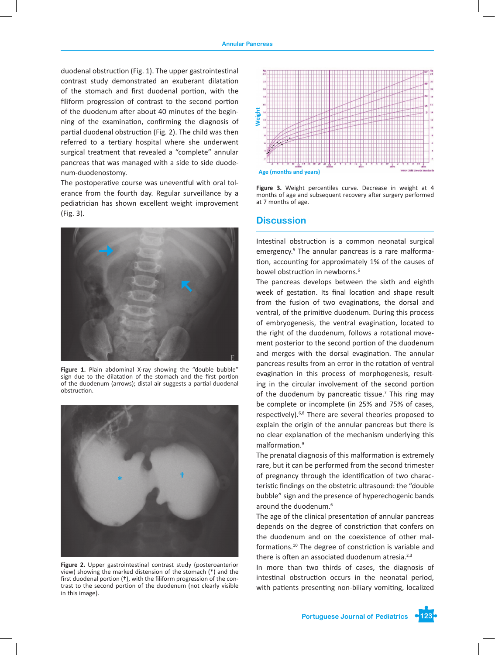duodenal obstruction (Fig. 1). The upper gastrointestinal contrast study demonstrated an exuberant dilatation of the stomach and first duodenal portion, with the filiform progression of contrast to the second portion of the duodenum after about 40 minutes of the beginning of the examination, confirming the diagnosis of partial duodenal obstruction (Fig. 2). The child was then referred to a tertiary hospital where she underwent surgical treatment that revealed a "complete" annular pancreas that was managed with a side to side duodenum-duodenostomy.

The postoperative course was uneventful with oral tolerance from the fourth day. Regular surveillance by a pediatrician has shown excellent weight improvement (Fig. 3). **Discussion**



Figure 1. Plain abdominal X-ray showing the "double bubble" sign due to the dilatation of the stomach and the first portion of the duodenum (arrows); distal air suggests a partial duodenal obstruction.



**Figure 2.** Upper gastrointestinal contrast study (posteroanterior view) showing the marked distension of the stomach (\*) and the first duodenal portion (†), with the filiform progression of the contrast to the second portion of the duodenum (not clearly visible in this image).



**Figure 3.** Weight percentiles curve. Decrease in weight at 4 months of age and subsequent recovery after surgery performed at 7 months of age.

Intestinal obstruction is a common neonatal surgical emergency.<sup>5</sup> The annular pancreas is a rare malformation, accounting for approximately 1% of the causes of bowel obstruction in newborns.<sup>6</sup>

The pancreas develops between the sixth and eighth week of gestation. Its final location and shape result from the fusion of two evaginations, the dorsal and ventral, of the primitive duodenum. During this process of embryogenesis, the ventral evagination, located to the right of the duodenum, follows a rotational movement posterior to the second portion of the duodenum and merges with the dorsal evagination. The annular pancreas results from an error in the rotation of ventral evagination in this process of morphogenesis, resulting in the circular involvement of the second portion of the duodenum by pancreatic tissue.<sup>7</sup> This ring may be complete or incomplete (in 25% and 75% of cases, respectively).<sup>6,8</sup> There are several theories proposed to explain the origin of the annular pancreas but there is no clear explanation of the mechanism underlying this malformation.<sup>9</sup>

The prenatal diagnosis of this malformation is extremely rare, but it can be performed from the second trimester of pregnancy through the identification of two characteristic findings on the obstetric ultrasound: the "double bubble" sign and the presence of hyperechogenic bands around the duodenum.<sup>6</sup>

The age of the clinical presentation of annular pancreas depends on the degree of constriction that confers on the duodenum and on the coexistence of other malformations.10 The degree of constriction is variable and there is often an associated duodenum atresia. $2,3$ 

In more than two thirds of cases, the diagnosis of intestinal obstruction occurs in the neonatal period, with patients presenting non-biliary vomiting, localized

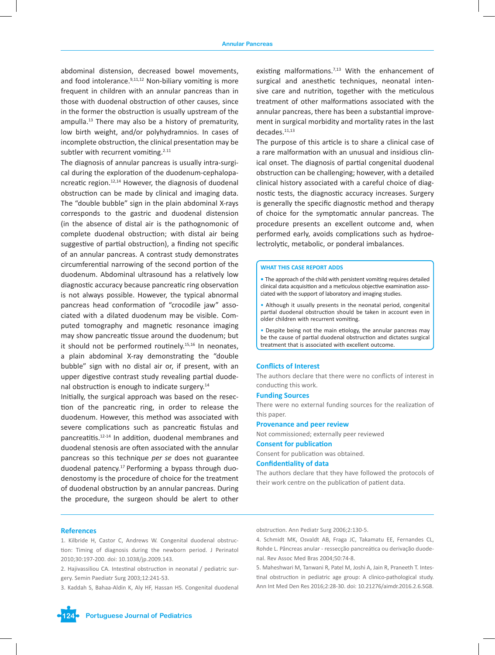abdominal distension, decreased bowel movements, and food intolerance. $9,11,12$  Non-biliary vomiting is more frequent in children with an annular pancreas than in those with duodenal obstruction of other causes, since in the former the obstruction is usually upstream of the ampulla. $13$  There may also be a history of prematurity, low birth weight, and/or polyhydramnios. In cases of incomplete obstruction, the clinical presentation may be subtler with recurrent vomiting.<sup>2.11</sup>

The diagnosis of annular pancreas is usually intra-surgical during the exploration of the duodenum-cephalopancreatic region.<sup>12,14</sup> However, the diagnosis of duodenal obstruction can be made by clinical and imaging data. The "double bubble" sign in the plain abdominal X-rays corresponds to the gastric and duodenal distension (in the absence of distal air is the pathognomonic of complete duodenal obstruction; with distal air being suggestive of partial obstruction), a finding not specific of an annular pancreas. A contrast study demonstrates circumferential narrowing of the second portion of the duodenum. Abdominal ultrasound has a relatively low diagnostic accuracy because pancreatic ring observation is not always possible. However, the typical abnormal pancreas head conformation of "crocodile jaw" associated with a dilated duodenum may be visible. Computed tomography and magnetic resonance imaging may show pancreatic tissue around the duodenum; but it should not be performed routinely.<sup>15,16</sup> In neonates, a plain abdominal X-ray demonstrating the "double bubble" sign with no distal air or, if present, with an upper digestive contrast study revealing partial duodenal obstruction is enough to indicate surgery.<sup>14</sup>

Initially, the surgical approach was based on the resection of the pancreatic ring, in order to release the duodenum. However, this method was associated with severe complications such as pancreatic fistulas and pancreatitis.12-14 In addition, duodenal membranes and duodenal stenosis are often associated with the annular pancreas so this technique *per se* does not guarantee duodenal patency.17 Performing a bypass through duodenostomy is the procedure of choice for the treatment of duodenal obstruction by an annular pancreas. During the procedure, the surgeon should be alert to other

existing malformations.<sup>7,13</sup> With the enhancement of surgical and anesthetic techniques, neonatal intensive care and nutrition, together with the meticulous treatment of other malformations associated with the annular pancreas, there has been a substantial improvement in surgical morbidity and mortality rates in the last decades.11,13

The purpose of this article is to share a clinical case of a rare malformation with an unusual and insidious clinical onset. The diagnosis of partial congenital duodenal obstruction can be challenging; however, with a detailed clinical history associated with a careful choice of diagnostic tests, the diagnostic accuracy increases. Surgery is generally the specific diagnostic method and therapy of choice for the symptomatic annular pancreas. The procedure presents an excellent outcome and, when performed early, avoids complications such as hydroelectrolytic, metabolic, or ponderal imbalances.

#### **WHAT THIS CASE REPORT ADDS**

**•** The approach of the child with persistent vomiting requires detailed clinical data acquisition and a meticulous objective examination associated with the support of laboratory and imaging studies.

• Although it usually presents in the neonatal period, congenital partial duodenal obstruction should be taken in account even in older children with recurrent vomiting.

• Despite being not the main etiology, the annular pancreas may be the cause of partial duodenal obstruction and dictates surgical treatment that is associated with excellent outcome.

## **Conflicts of Interest**

The authors declare that there were no conflicts of interest in conducting this work.

## **Funding Sources**

There were no external funding sources for the realization of this paper.

### **Provenance and peer review**

Not commissioned; externally peer reviewed

## **Consent for publication**

Consent for publication was obtained.

## **Confidentiality of data**

The authors declare that they have followed the protocols of their work centre on the publication of patient data.

#### **References**

1. Kilbride H, Castor C, Andrews W. Congenital duodenal obstruction: Timing of diagnosis during the newborn period. J Perinatol 2010;30:197-200. doi: 10.1038/jp.2009.143.

2. Hajivassiliou CA. Intestinal obstruction in neonatal / pediatric surgery. Semin Paediatr Surg 2003;12:241-53.

3. Kaddah S, Bahaa-Aldin K, Aly HF, Hassan HS. Congenital duodenal

obstruction. Ann Pediatr Surg 2006;2:130-5.

4. Schmidt MK, Osvaldt AB, Fraga JC, Takamatu EE, Fernandes CL, Rohde L. Pâncreas anular - ressecção pancreática ou derivação duodenal. Rev Assoc Med Bras 2004;50:74-8.

5. Maheshwari M, Tanwani R, Patel M, Joshi A, Jain R, Praneeth T. Intestinal obstruction in pediatric age group: A clinico-pathological study. Ann Int Med Den Res 2016;2:28-30. doi: 10.21276/aimdr.2016.2.6.SG8.